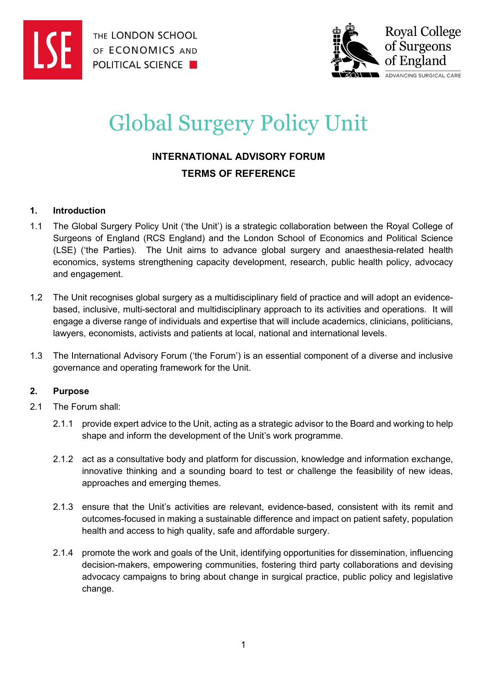



# Global Surgery Policy Unit

# **INTERNATIONAL ADVISORY FORUM TERMS OF REFERENCE**

## **1. Introduction**

- 1.1 The Global Surgery Policy Unit ('the Unit') is a strategic collaboration between the Royal College of Surgeons of England (RCS England) and the London School of Economics and Political Science (LSE) ('the Parties). The Unit aims to advance global surgery and anaesthesia-related health economics, systems strengthening capacity development, research, public health policy, advocacy and engagement.
- 1.2 The Unit recognises global surgery as a multidisciplinary field of practice and will adopt an evidencebased, inclusive, multi-sectoral and multidisciplinary approach to its activities and operations. It will engage a diverse range of individuals and expertise that will include academics, clinicians, politicians, lawyers, economists, activists and patients at local, national and international levels.
- 1.3 The International Advisory Forum ('the Forum') is an essential component of a diverse and inclusive governance and operating framework for the Unit.

# **2. Purpose**

- 2.1 The Forum shall:
	- 2.1.1 provide expert advice to the Unit, acting as a strategic advisor to the Board and working to help shape and inform the development of the Unit's work programme.
	- 2.1.2 act as a consultative body and platform for discussion, knowledge and information exchange, innovative thinking and a sounding board to test or challenge the feasibility of new ideas, approaches and emerging themes.
	- 2.1.3 ensure that the Unit's activities are relevant, evidence-based, consistent with its remit and outcomes-focused in making a sustainable difference and impact on patient safety, population health and access to high quality, safe and affordable surgery.
	- 2.1.4 promote the work and goals of the Unit, identifying opportunities for dissemination, influencing decision-makers, empowering communities, fostering third party collaborations and devising advocacy campaigns to bring about change in surgical practice, public policy and legislative change.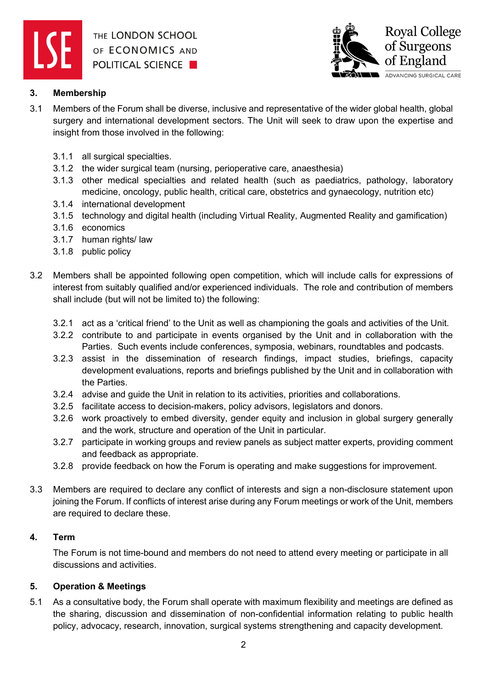



# **3. Membership**

- 3.1 Members of the Forum shall be diverse, inclusive and representative of the wider global health, global surgery and international development sectors. The Unit will seek to draw upon the expertise and insight from those involved in the following:
	- 3.1.1 all surgical specialties.
	- 3.1.2 the wider surgical team (nursing, perioperative care, anaesthesia)
	- 3.1.3 other medical specialties and related health (such as paediatrics, pathology, laboratory medicine, oncology, public health, critical care, obstetrics and gynaecology, nutrition etc)
	- 3.1.4 international development
	- 3.1.5 technology and digital health (including Virtual Reality, Augmented Reality and gamification)
	- 3.1.6 economics
	- 3.1.7 human rights/ law
	- 3.1.8 public policy
- 3.2 Members shall be appointed following open competition, which will include calls for expressions of interest from suitably qualified and/or experienced individuals. The role and contribution of members shall include (but will not be limited to) the following:
	- 3.2.1 act as a 'critical friend' to the Unit as well as championing the goals and activities of the Unit.
	- 3.2.2 contribute to and participate in events organised by the Unit and in collaboration with the Parties. Such events include conferences, symposia, webinars, roundtables and podcasts.
	- 3.2.3 assist in the dissemination of research findings, impact studies, briefings, capacity development evaluations, reports and briefings published by the Unit and in collaboration with the Parties.
	- 3.2.4 advise and guide the Unit in relation to its activities, priorities and collaborations.
	- 3.2.5 facilitate access to decision-makers, policy advisors, legislators and donors.
	- 3.2.6 work proactively to embed diversity, gender equity and inclusion in global surgery generally and the work, structure and operation of the Unit in particular.
	- 3.2.7 participate in working groups and review panels as subject matter experts, providing comment and feedback as appropriate.
	- 3.2.8 provide feedback on how the Forum is operating and make suggestions for improvement.
- 3.3 Members are required to declare any conflict of interests and sign a non-disclosure statement upon joining the Forum. If conflicts of interest arise during any Forum meetings or work of the Unit, members are required to declare these.

### **4. Term**

The Forum is not time-bound and members do not need to attend every meeting or participate in all discussions and activities.

### **5. Operation & Meetings**

5.1 As a consultative body, the Forum shall operate with maximum flexibility and meetings are defined as the sharing, discussion and dissemination of non-confidential information relating to public health policy, advocacy, research, innovation, surgical systems strengthening and capacity development.